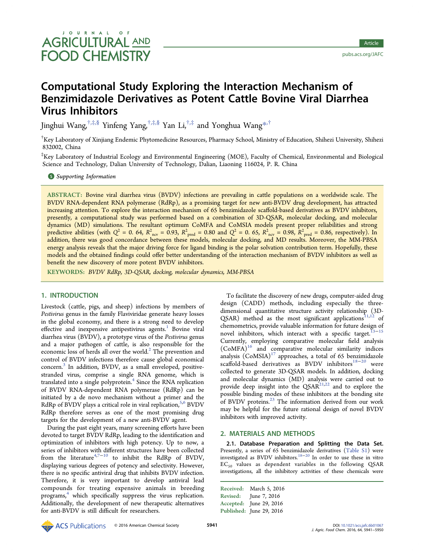# Computational Study Exploring the Interaction Mechanism of Benzimidazole Derivatives as Potent Cattle Bovine Viral Diarrhea Virus Inhibitors

Jinghui Wang,  $\sharp$ , $\sharp$ , $\$\$  Yinfeng Yang,  $\sharp$ , $\sharp$ , $\$\$  Yan Li, $\sharp$ , $\sharp$  and Yonghua Wang $\ast$ , $\sharp$ 

<sup>†</sup>Key Laboratory of X[in](#page-7-0)jiang Ende[m](#page-7-0)ic Phytomedicine Resources, Pharmacy School, M[ini](#page-7-0)stry of Education, Shihezi University, Shihezi 832002, China

‡ Key Laboratory of Industrial Ecology and Environmental Engineering (MOE), Faculty of Chemical, Environmental and Biological Science and Technology, Dalian University of Technology, Dalian, Liaoning 116024, P. R. China

**S** Supporting Information

[AB](#page-7-0)STRACT: [Bovine viral d](#page-7-0)iarrhea virus (BVDV) infections are prevailing in cattle populations on a worldwide scale. The BVDV RNA-dependent RNA polymerase (RdRp), as a promising target for new anti-BVDV drug development, has attracted increasing attention. To explore the interaction mechanism of 65 benzimidazole scaffold-based derivatives as BVDV inhibitors, presently, a computational study was performed based on a combination of 3D-QSAR, molecular docking, and molecular dynamics (MD) simulations. The resultant optimum CoMFA and CoMSIA models present proper reliabilities and strong predictive abilities (with  $Q^2 = 0$ . 64,  $R^2_{\text{ncv}} = 0.93$ ,  $R^2_{\text{pred}} = 0.80$  and  $Q^2 = 0$ . 65,  $R^2_{\text{ncv}} = 0.98$ ,  $R^2_{\text{pred}} = 0.86$ , respectively). In addition, there was good concordance between these models, molecular docking, and MD results. Moreover, the MM-PBSA energy analysis reveals that the major driving force for ligand binding is the polar solvation contribution term. Hopefully, these models and the obtained findings could offer better understanding of the interaction mechanism of BVDV inhibitors as well as benefit the new discovery of more potent BVDV inhibitors.

KEYWORDS: BVDV RdRp, 3D-QSAR, docking, molecular dynamics, MM-PBSA

# 1. INTRODUCTION

Livestock (cattle, pigs, and sheep) infections by members of Pestivirus genus in the family Flaviviridae generate heavy losses in the global economy, and there is a strong need to develop effective and inexpensive antipestivirus agents.<sup>1</sup> Bovine viral diarrhea virus (BVDV), a prototype virus of the Pestivirus genus and a major pathogen of cattle, is also resp[on](#page-7-0)sible for the economic loss of herds all over the world.<sup>2</sup> The prevention and control of BVDV infections therefore cause global economical concern.<sup>3</sup> In addition, BVDV, as a sma[l](#page-7-0)l enveloped, positivestranded virus, comprise a single RNA genome, which is translate[d](#page-7-0) into a single polyprotein.<sup>4</sup> Since the RNA replication of BVDV RNA-dependent RNA polymerase (RdRp) can be initiated by a de novo mechanis[m](#page-8-0) without a primer and the RdRp of BVDV plays a critical role in viral replication,<sup>5,6</sup> BVDV RdRp therefore serves as one of the most promising drug targets for the development of a new anti-BVDV ag[ent](#page-8-0).

During the past eight years, many screening efforts have been devoted to target BVDV RdRp, leading to the identification and optimization of inhibitors with high potency. Up to now, a series of inhibitors with different structures have been collected from the literature<sup>4,7−10</sup> to inhibit the RdRp of BVDV, displaying various degrees of potency and selectivity. However, there is no specific [antivira](#page-8-0)l drug that inhibits BVDV infection. Therefore, it is very important to develop antiviral lead compounds for treating expensive animals in breeding programs,<sup>4</sup> which specifically suppress the virus replication. Additionally, the development of new therapeutic alternatives for anti-B[V](#page-8-0)DV is still difficult for researchers.

To facilitate the discovery of new drugs, computer-aided drug design (CADD) methods, including especially the threedimensional quantitative structure activity relationship (3D-QSAR) method as the most significant applications $11,12$  of chemometrics, provide valuable information for future design of novel inhibitors, which interact with a specific tar[get](#page-8-0).<sup>1</sup> Currently, employing comparative molecular field analysis  $(CoMFA)^{16}$  and comparative molecular similarity i[ndi](#page-8-0)c[es](#page-8-0) analysis  $(CoMSIA)^{17}$  approaches, a total of 65 benzimidazole scaffold-b[ase](#page-8-0)d derivatives as BVDV inhibitors $^{18-20}$  were collected to genera[te](#page-8-0) 3D-QSAR models. In addition, docking and molecular dynamics (MD) analysis were ca[rried](#page-8-0) out to provide deep insight into the  $QSAR<sup>21,22</sup>$  and to explore the possible binding modes of these inhibitors at the bonding site of BVDV proteins.<sup>23</sup> The informatio[n der](#page-8-0)ived from our work may be helpful for the future rational design of novel BVDV inhibitors with im[pro](#page-8-0)ved activity.

# 2. MATERIALS AND METHODS

2.1. Database Preparation and Splitting the Data Set. Presently, a series of 65 benzimidazole derivatives (Table S1) were investigated as BVDV inhibitors.18−<sup>20</sup> In order to use these in vitro  $EC_{50}$  values as dependent variables in the following QSAR investigations, all the inhibitory [activ](#page-8-0)ities of these [chemicals](http://pubs.acs.org/doi/suppl/10.1021/acs.jafc.6b01067/suppl_file/jf6b01067_si_001.pdf) were

Received: March 5, 2016 Revised: June 7, 2016 Accepted: June 29, 2016 Published: June 29, 2016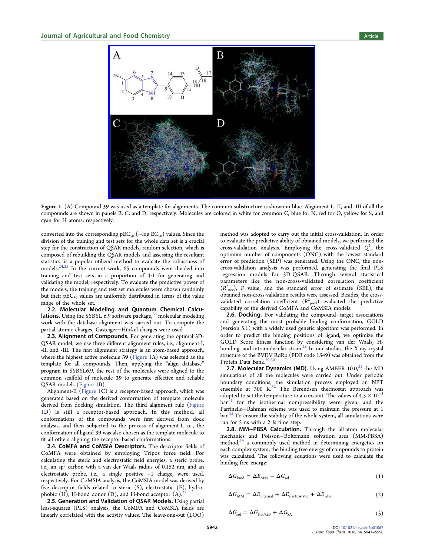

Figure 1. (A) Compound 39 [was used as a template for alignments. The common substructure is shown in blue. Alig](http://pubsdc3.acs.org/action/showImage?doi=10.1021/acs.jafc.6b01067&iName=master.img-000.jpg&w=299&h=221)nment-I, -II, and -III of all the compounds are shown in panels B, C, and D, respectively. Molecules are colored in white for common C, blue for N, red for O, yellow for S, and cyan for H atoms, respectively.

converted into the corresponding  $pEC_{50}$  ( $-\log EC_{50}$ ) values. Since the division of the training and test sets for the whole data set is a crucial step for the construction of QSAR models, random selection, which is composed of rebuilding the QSAR models and assessing the resultant statistics, is a popular utilized method to evaluate the robustness of models.<sup> $24,25$ </sup> In the current work, 65 compounds were divided into training and test sets in a proportion of 4:1 for generating and validati[ng th](#page-8-0)e model, respectively. To evaluate the predictive power of the models, the training and test set molecules were chosen randomly but their  $pEC_{50}$  values are uniformly distributed in terms of the value range of the whole set.

2.2. Molecular Modeling and Quantum Chemical Calcu**lations.** Using the SYBYL 6.9 software package, $\alpha$ <sup>o</sup> molecular modeling work with the database alignment was carried out. To compute the partial atomic charges, Gasteiger−Hü ckel char[ges](#page-8-0) were used.

2.3. Alignment of Compounds. For generating the optimal 3D-QSAR model, we use three different alignment rules, i.e., alignment-I, -II, and -III. The first alignment strategy is an atom-based approach, where the highest active molecule 39 (Figure 1A) was selected as the template for all compounds. Then, applying the "align database" program in SYBYL6.9, the rest of the molecules were aligned to the common scaffold of molecule 39 to generate effective and reliable QSAR models (Figure 1B).

Alignment-II (Figure 1C) is a receptor-based approach, which was generated based on the derived conformation of template molecule derived from docking simulation. The third alignment rule (Figure 1D) is still a receptor-based approach. In this method, all conformations of the compounds were first derived from dock analysis, and then subjected to the process of alignment-I, i.e., the conformation of ligand 39 was also chosen as the template molecule to fit all others aligning the receptor-based conformations.

2.4. CoMFA and CoMSIA Descriptors. The descriptor fields of CoMFA were obtained by employing Tripos force field. For calculating the steric and electrostatic field energies, a steric probe, i.e., an  $sp<sup>3</sup>$  carbon with a van der Waals radius of 0.152 nm, and an electrostatic probe, i.e., a single positive +1 charge, were used, respectively. For CoMSIA analysis, the CoMSIA model was derived by five descriptor fields related to steric (S), electrostatic (E), hydrophobic  $(H)$ , H-bond donor  $(D)$ , and H-bond acceptor  $(A)$ .

2.5. Generation and Validation of QSAR Models. Using partial least-squares (PLS) analysis, the CoMFA and CoMSIA fi[e](#page-8-0)lds are linearly correlated with the activity values. The leave-one-out (LOO)

method was adopted to carry out the initial cross-validation. In order to evaluate the predictive ability of obtained models, we performed the cross-validation analysis. Employing the cross-validated  $Q^2$ , the optimum number of components (ONC) with the lowest standard error of prediction (SEP) was generated. Using the ONC, the noncross-validation analysis was performed, generating the final PLS regression models for 3D-QSAR. Through several statistical parameters like the non-cross-validated correlation coefficient  $\bar{R}^2_{\text{ncv}}$ ), F value, and the standard error of estimate (SEE), the obtained non-cross-validation results were assessed. Besides, the crossvalidated correlation coefficient  $(R^2_{\text{ pred}})$  evaluated the predictive capability of the derived CoMFA and CoMSIA models.

2.6. Docking. For validating the compound–target associations and generating the most probable binding conformation, GOLD (version 5.1) with a widely used genetic algorithm was performed. In order to predict the binding positions of ligand, we optimize the GOLD Score fitness function by considering van der Waals, Hbonding, and intramolecular strain.<sup>28</sup> In our studies, the X-ray crystal structure of the BVDV RdRp (PDB code 1S49) was obtained from the Protein Data Bank.<sup>29,30</sup>

**2.7. Molecular Dynamics (M[D\).](#page-8-0)** Using AMBER  $10.0$ ,<sup>31</sup> the MD simulations of all [the](#page-8-0) molecules were carried out. Under periodic boundary conditions, the simulation process employe[d a](#page-8-0)n NPT ensemble at 300  $K^{32}$  The Berendsen thermostat approach was adopted to set the temperature to a constant. The values of  $4.5 \times 10^{-5}$ bar<sup>−</sup><sup>1</sup> for the isoth[er](#page-8-0)mal compressibility were given, and the Parrinello−Rahman scheme was used to maintain the pressure at 1 bar.<sup>33</sup> To ensure the stability of the whole system, all simulations were run for 5 ns with a 2 fs time step.

[2.8](#page-8-0). MM−PBSA Calculation. Through the all-atom molecular mechanics and Poisson−Boltzmann solvation area (MM-PBSA) method, $34$  a commonly used method in determining energetics on each complex system, the binding free energy of compounds to protein was cal[cul](#page-8-0)ated. The following equations were used to calculate the binding free energy:

$$
\Delta G_{\text{bind}} = \Delta E_{\text{MM}} + \Delta G_{\text{sol}} \tag{1}
$$

$$
\Delta G_{\text{MM}} = \Delta E_{\text{internal}} + \Delta E_{\text{electrostatic}} + \Delta E_{\text{vdw}} \tag{2}
$$

$$
\Delta G_{sol} = \Delta G_{PB/GB} + \Delta G_{SA} \tag{3}
$$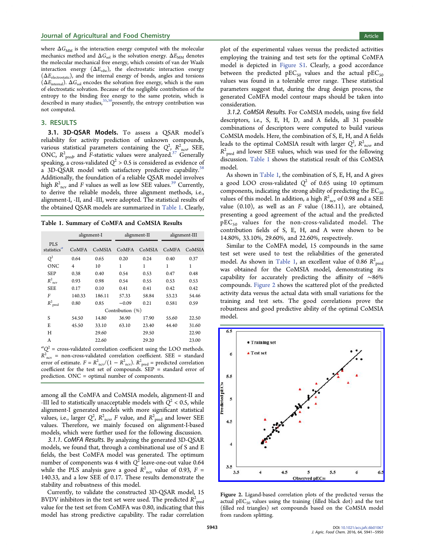where  $\Delta G_{\text{MM}}$  is the interaction energy computed with the molecular mechanics method and  $\Delta G_{sol}$  is the solvation energy.  $\Delta E_{MM}$  denotes the molecular mechanical free energy, which consists of van der Waals interaction energy  $(\Delta E_{\text{vdw}})$ , the electrostatic interaction energy  $(\Delta E_{\text{electrostatic}})$ , and the internal energy of bonds, angles and torsions  $(\Delta E_{\text{internal}})$ .  $\Delta G_{\text{sol}}$  encodes the solvation free energy, which is the sum of electrostatic solvation. Because of the negligible contribution of the entropy to the binding free energy to the same protein, which is described in many studies,  $35,36$  presently, the entropy contribution was not computed.

## 3. RESULTS

3.1. 3D-QSAR Models. To assess a QSAR model's reliability for activity prediction of unknown compounds, various statistical parameters containing the  $Q^2$ ,  $R^2_{\text{new}}$  SEE, ONC,  $R_{\text{pred}}^2$  and F-statistic values were analyzed.<sup>37</sup> Generally speaking, a cross-validated  $Q^2 > 0.5$  is considered as evidence of a 3D-QSAR model with satisfactory predictive [ca](#page-8-0)pability.<sup>38</sup> Additionally, the foundation of a reliable QSAR model involves high  $R^2_{\text{ncv}}$  and F values as well as low SEE values.<sup>39</sup> Current[ly,](#page-8-0) to derive the reliable models, three alignment methods, i.e., alignment-I, -II, and -III, were adopted. The statist[ica](#page-8-0)l results of the obtained QSAR models are summarized in Table 1. Clearly,

Table 1. Summary of CoMFA and CoMSIA Results

|                                       | alignment-I |        | alignment-II |        | alignment-III |        |  |  |  |  |  |  |
|---------------------------------------|-------------|--------|--------------|--------|---------------|--------|--|--|--|--|--|--|
| <b>PLS</b><br>statistics <sup>a</sup> | CoMFA       | CoMSIA | CoMFA        | CoMSIA | CoMFA         | CoMSIA |  |  |  |  |  |  |
| $Q^2$                                 | 0.64        | 0.65   | 0.20         | 0.24   | 0.40          | 0.37   |  |  |  |  |  |  |
| <b>ONC</b>                            | 4           | 10     | 1            | 1      | $\mathbf{1}$  | 1      |  |  |  |  |  |  |
| <b>SEP</b>                            | 0.38        | 0.40   | 0.54         | 0.53   | 0.47          | 0.48   |  |  |  |  |  |  |
| $R^2_{\text{ncv}}$                    | 0.93        | 0.98   | 0.54         | 0.55   | 0.53          | 0.53   |  |  |  |  |  |  |
| <b>SEE</b>                            | 0.17        | 0.10   | 0.41         | 0.41   | 0.42          | 0.42   |  |  |  |  |  |  |
| F                                     | 140.33      | 186.11 | 57.33        | 58.84  | 53.23         | 54.46  |  |  |  |  |  |  |
| $R^2_{\ \rm pred}$                    | 0.80        | 0.85   | $-0.09$      | 0.21   | 0.581         | 0.59   |  |  |  |  |  |  |
| Contribution (%)                      |             |        |              |        |               |        |  |  |  |  |  |  |
| S                                     | 54.50       | 14.80  | 36.90        | 17.90  | 55.60         | 22.50  |  |  |  |  |  |  |
| E                                     | 45.50       | 33.10  | 63.10        | 23.40  | 44.40         | 31.60  |  |  |  |  |  |  |
| H                                     |             | 29.60  |              | 29.50  |               | 22.90  |  |  |  |  |  |  |
| A                                     |             | 22.60  |              | 29.20  |               | 23.00  |  |  |  |  |  |  |

 ${}^aQ^2$  = cross-validated correlation coefficient using the LOO methods.  $R^{2}_{\text{ncv}}$  = non-cross-validated correlation coefficient. SEE = standard error of estimate.  $F = R_{\text{ncv}}^2/(1 - R_{\text{ncv}}^2)$ .  $R_{\text{pred}}^2$  = predicted correlation coefficient for the test set of compounds. SEP = standard error of prediction. ONC = optimal number of components.

among all the CoMFA and CoMSIA models, alignment-II and -III led to statistically unacceptable models with  $Q^2$  < 0.5, while alignment-I generated models with more significant statistical values, i.e., larger  $Q^2$ ,  $R^2_{\text{ncv}}$  F value, and  $R^2_{\text{pred}}$  and lower SEE values. Therefore, we mainly focused on alignment-I-based models, which were further used for the following discussion.

3.1.1. CoMFA Results. By analyzing the generated 3D-QSAR models, we found that, through a combinational use of S and E fields, the best CoMFA model was generated. The optimum number of components was 4 with  $Q^{\bar{2}}$  leave-one-out value 0.64 while the PLS analysis gave a good  $R^2_{\text{ncv}}$  value of 0.93,  $F =$ 140.33, and a low SEE of 0.17. These results demonstrate the stability and robustness of this model.

Currently, to validate the constructed 3D-QSAR model, 15 BVDV inhibitors in the test set were used. The predicted  $R^2_{\ \, {\rm pred}}$ value for the test set from CoMFA was 0.80, indicating that this model has strong predictive capability. The radar correlation plot of the experimental values versus the predicted activities employing the training and test sets for the optimal CoMFA model is depicted in Figure S1. Clearly, a good accordance between the predicted  $pEC_{50}$  values and the actual  $pEC_{50}$ values was found in a [tolerable](http://pubs.acs.org/doi/suppl/10.1021/acs.jafc.6b01067/suppl_file/jf6b01067_si_001.pdf) error range. These statistical parameters suggest that, during the drug design process, the generated CoMFA model contour maps should be taken into consideration.

3.1.2. CoMSIA Results. For CoMSIA models, using five field descriptors, i.e., S, E, H, D, and A fields, all 31 possible combinations of descriptors were computed to build various CoMSIA models. Here, the combination of S, E, H, and A fields leads to the optimal CoMSIA result with larger  $Q^2$ ,  $R^2_{\,\,\rm{ncv}}$  and  $R^2_{\ \, {\rm pred}}$  and lower SEE values, which was used for the following discussion. Table 1 shows the statistical result of this CoMSIA model.

As shown in Table 1, the combination of S, E, H, and A gives a good LOO cross-validated  $Q^2$  of 0.65 using 10 optimum components, indicating the strong ability of predicting the  $EC_{50}$ values of this model. In addition, a high  $R^2_{\hphantom{2} \textrm{ncv}}$  of 0.98 and a SEE value  $(0.10)$ , as well as an F value  $(186.11)$ , are obtained, presenting a good agreement of the actual and the predicted  $pEC_{50}$  values for the non-cross-validated model. The contribution fields of S, E, H, and A were shown to be 14.80%, 33.10%, 29.60%, and 22.60%, respectively.

Similar to the CoMFA model, 15 compounds in the same test set were used to test the reliabilities of the generated model. As shown in Table 1, an excellent value of 0.86  $R^2_{\rm pred}$ was obtained for the CoMSIA model, demonstrating its capability for accurately predicting the affinity of ∼86% compounds. Figure 2 shows the scattered plot of the predicted activity data versus the actual data with small variations for the training and test sets. The good correlations prove the robustness and good predictive ability of the optimal CoMSIA model.



Figure 2. [Ligand-based correlation plots of the predicted versus the](http://pubsdc3.acs.org/action/showImage?doi=10.1021/acs.jafc.6b01067&iName=master.img-001.jpg&w=239&h=221) actual  $pEC_{50}$  values using the training (filled black dot) and the test (filled red triangles) set compounds based on the CoMSIA model from random splitting.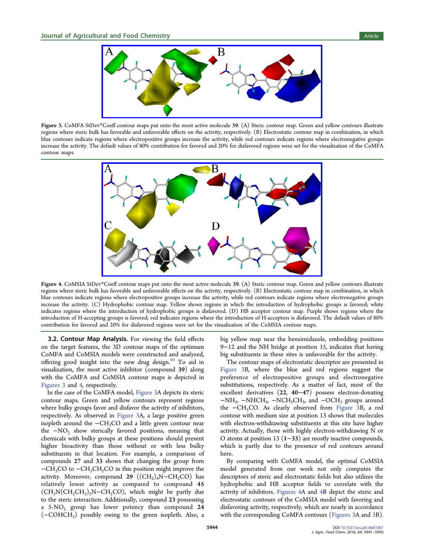<span id="page-3-0"></span>

Figure 3. CoMFA StDev\*Coeff contour maps put onto the most active molecule 39. (A) Steric contour map. Green and yellow contours illustrate regions where steric bulk has favorable and unfavorable eff[ects on the activity, respectively. \(B\) Electrostatic contour ma](http://pubsdc3.acs.org/action/showImage?doi=10.1021/acs.jafc.6b01067&iName=master.img-002.jpg&w=319&h=102)p in combination, in which blue contours indicate regions where electropositive groups increase the activity, while red contours indicate regions where electronegative groups increase the activity. The default values of 80% contribution for favored and 20% for disfavored regions were set for the visualization of the CoMFA contour maps.



Figure 4. CoMSIA StDev\*Coeff contour maps put onto the most active molecule 39. (A) Steric contour map. Green and yellow contours illustrate regions where steric bulk has favorable and unfavorable eff[ects on the activity, respectively. \(B\) Electrostatic contour ma](http://pubsdc3.acs.org/action/showImage?doi=10.1021/acs.jafc.6b01067&iName=master.img-003.jpg&w=319&h=162)p in combination, in which blue contours indicate regions where electropositive groups increase the activity, while red contours indicate regions where electronegative groups increase the activity. (C) Hydrophobic contour map. Yellow shows regions in which the introduction of hydrophobic groups is favored; white indicates regions where the introduction of hydrophobic groups is disfavored. (D) HB acceptor contour map. Purple shows regions where the introduction of H-accepting groups is favored; red indicates regions where the introduction of H-acceptors is disfavored. The default values of 80% contribution for favored and 20% for disfavored regions were set for the visualization of the CoMSIA contour maps.

3.2. Contour Map Analysis. For viewing the field effects on the target features, the 3D contour maps of the optimum CoMFA and CoMSIA models were constructed and analyzed, offering good insight into the new drug design. $40$  To aid in visualization, the most active inhibitor (compound 39) along with the CoMFA and CoMSIA contour maps i[s d](#page-9-0)epicted in Figures 3 and 4, respectively.

In the case of the CoMFA model, Figure 3A depicts its steric contour maps. Green and yellow contours represent regions where bulky groups favor and disfavor the activity of inhibitors, respectively. As observed in Figure 3A, a large positive green isopleth around the −CH3CO and a little green contour near the  $-NO<sub>2</sub>$  show sterically favored positions, meaning that chemicals with bulky groups at these positions should present higher bioactivity than those without or with less bulky substituents in that location. For example, a comparison of compounds 27 and 33 shows that changing the group from −CH<sub>3</sub>CO to −CH<sub>3</sub>CH<sub>2</sub>CO in this position might improve the activity. Moreover, compound 29 ( $(CH_2)_4N-CH_2CO$ ) has relatively lower activity as compared to compound 45  $(CH_3N(CH_2CH_2)_2N-CH_2CO)$ , which might be partly due to the steric interaction. Additionally, compound 23 possessing a  $5-NO<sub>2</sub>$  group has lower potency than compound 24 (−COHCH3) possibly owing to the green isopleth. Also, a

big yellow map near the benzimidazole, embedding positions 9−12 and the NH bridge at position 15, indicates that having big substituents in these sites is unfavorable for the activity.

The contour maps of electrostatic descriptor are presented in Figure 3B, where the blue and red regions suggest the preference of electropositive groups and electronegative substitutions, respectively. As a matter of fact, most of the excellent derivatives (22, 40−47) possess electron-donating  $-NH<sub>2</sub>$ ,  $-NHCH<sub>3</sub>$ ,  $-NCH<sub>3</sub>CH<sub>3</sub>$ , and  $-OCH<sub>3</sub>$  groups around the −CH3CO. As clearly observed from Figure 3B, a red contour with medium size at position 13 shows that molecules with electron-withdrawing substituents at this site have higher activity. Actually, those with highly electron-withdrawing N or O atoms at position 13 (1−33) are mostly inactive compounds, which is partly due to the presence of red contours around here.

By comparing with CoMFA model, the optimal CoMSIA model generated from our work not only computes the descriptors of steric and electrostatic fields but also utilizes the hydrophobic and HB acceptor fields to correlate with the activity of inhibitors. Figures 4A and 4B depict the steric and electrostatic contours of the CoMSIA model with favoring and disfavoring activity, respectively, which are nearly in accordance with the corresponding CoMFA contours (Figures 3A and 3B).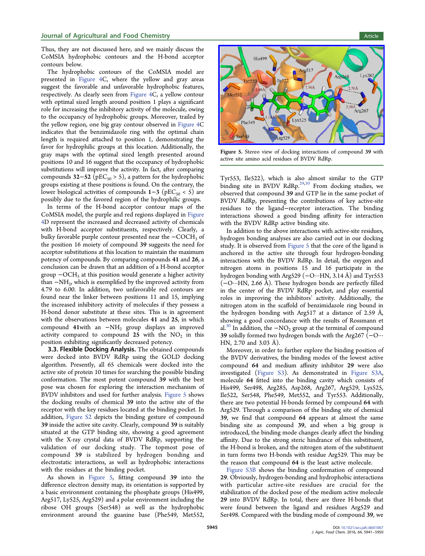<span id="page-4-0"></span>Thus, they are not discussed here, and we mainly discuss the CoMSIA hydrophobic contours and the H-bond acceptor contours below.

The hydrophobic contours of the CoMSIA model are presented in Figure 4C, where the yellow and gray areas suggest the favorable and unfavorable hydrophobic features, respectively. A[s clearly](#page-3-0) seen from Figure 4C, a yellow contour with optimal sized length around position 1 plays a significant role for increasing the inhibitory a[ctivity of](#page-3-0) the molecule, owing to the occupancy of hydrophobic groups. Moreover, trailed by the yellow region, one big gray contour observed in Figure 4C indicates that the benzimidazole ring with the optimal chain length is required attached to position 1, demons[trating th](#page-3-0)e favor for hydrophilic groups at this location. Additionally, the gray maps with the optimal sized length presented around positions 10 and 16 suggest that the occupancy of hydrophobic substitutions will improve the activity. In fact, after comparing compounds  $32-52$  (pEC<sub>50</sub> > 5), a pattern for the hydrophobic groups existing at these positions is found. On the contrary, the lower biological activities of compounds  $1-3$  (pEC<sub>50</sub> < 5) are possibly due to the favored region of the hydrophilic groups.

In terms of the H-bond acceptor contour maps of the CoMSIA model, the purple and red regions displayed in Figure 4D represent the increased and decreased activity of chemicals with H-bond acceptor substituents, respectively. Cle[arly, a](#page-3-0) [b](#page-3-0)ulky favorable purple contour presented near the −COCH<sub>3</sub> of the position 16 moiety of compound 39 suggests the need for acceptor substitutions at this location to maintain the maximum potency of compounds. By comparing compounds 41 and 26, a conclusion can be drawn that an addition of a H-bond acceptor group  $-OCH<sub>3</sub>$  at this position would generate a higher activity than  $-NH<sub>2</sub>$ , which is exemplified by the improved activity from 4.79 to 6.00. In addition, two unfavorable red contours are found near the linker between positions 11 and 15, implying the increased inhibitory activity of molecules if they possess a H-bond donor substitute at these sites. This is in agreement with the observations between molecules 41 and 25, in which compound 41with an −NH2 group displays an improved activity compared to compound 25 with the  $NO<sub>2</sub>$  in this position exhibiting significantly decreased potency.

3.3. Flexible Docking Analysis. The obtained compounds were docked into BVDV RdRp using the GOLD docking algorithm. Presently, all 65 chemicals were docked into the active site of protein 10 times for searching the possible binding conformation. The most potent compound 39 with the best pose was chosen for exploring the interaction mechanism of BVDV inhibitors and used for further analysis. Figure 5 shows the docking results of chemical 39 into the active site of the receptor with the key residues located at the binding pocket. In addition, Figure S2 depicts the binding gesture of compound 39 inside the active site cavity. Clearly, compound 39 is suitably situated [at the GTP](http://pubs.acs.org/doi/suppl/10.1021/acs.jafc.6b01067/suppl_file/jf6b01067_si_001.pdf) binding site, showing a good agreement with the X-ray crystal data of BVDV RdRp, supporting the validation of our docking study. The topmost pose of compound 39 is stabilized by hydrogen bonding and electrostatic interactions, as well as hydrophobic interactions with the residues at the binding pocket.

As shown in Figure 5, fitting compound 39 into the difference electron density map, its orientation is supported by a basic environment containing the phosphate groups (His499, Arg517, Ly525, Arg529) and a polar environment including the ribose OH groups (Ser548) as well as the hydrophobic environment around the guanine base (Phe549, Met552,





Figure 5. [Stereo view of docking interactions of compound](http://pubsdc3.acs.org/action/showImage?doi=10.1021/acs.jafc.6b01067&iName=master.img-004.jpg&w=239&h=141) 39 with active site amino acid residues of BVDV RdRp.

Tyr553, Ile522), which is also almost similar to the GTP binding site in BVDV RdRp.<sup>29,30</sup> From docking studies, we observed that compound 39 and GTP lie in the same pocket of BVDV RdRp, presenting the [con](#page-8-0)tributions of key active-site residues to the ligand−receptor interaction. The binding interactions showed a good binding affinity for interaction with the BVDV RdRp active binding site.

In addition to the above interactions with active-site residues, hydrogen bonding analyses are also carried out in our docking study. It is observed from Figure 5 that the core of the ligand is anchored in the active site through four hydrogen-bonding interactions with the BVDV RdRp. In detail, the oxygen and nitrogen atoms in positions 15 and 16 participate in the hydrogen bonding with Arg529 (−O···HN, 3.14 Å) and Tyr553 (−O···HN, 2.66 Å). These hydrogen bonds are perfectly filled in the center of the BVDV RdRp pocket, and play essential roles in improving the inhibitors' activity. Additionally, the nitrogen atom in the scaffold of benzimidazole ring bound in the hydrogen bonding with Arg517 at a distance of 2.59 Å, showing a good concordance with the results of Rossmann et al.<sup>30</sup> In addition, the  $-NO_2$  group at the terminal of compound 39 solidly formed two hydrogen bonds with the Arg267 (−O··· H[N,](#page-8-0) 2.70 and 3.03 Å).

Moreover, in order to further explore the binding position of the BVDV derivatives, the binding modes of the lowest active compound 64 and medium affinity inhibitor 29 were also investigated (Figure S3). As demonstrated in Figure S3A, molecule 64 fitted into the binding cavity which consists of His499, Ser4[98, Arg285](http://pubs.acs.org/doi/suppl/10.1021/acs.jafc.6b01067/suppl_file/jf6b01067_si_001.pdf), Asp268, Arg267, Arg[529, Lys525,](http://pubs.acs.org/doi/suppl/10.1021/acs.jafc.6b01067/suppl_file/jf6b01067_si_001.pdf) Ile522, Ser548, Phe549, Met552, and Tyr553. Additionally, there are two potential H-bonds formed by compound 64 with Arg529. Through a comparison of the binding site of chemical 39, we find that compound 64 appears at almost the same binding site as compound 39, and when a big group is introduced, the binding mode changes clearly affect the binding affinity. Due to the strong steric hindrance of this substituent, the H-bond is broken, and the nitrogen atom of the substituent in turn forms two H-bonds with residue Arg529. This may be the reason that compound 64 is the least active molecule.

Figure S3B shows the binding conformation of compound 29. Obviously, hydrogen-bonding and hydrophobic interactions w[ith particu](http://pubs.acs.org/doi/suppl/10.1021/acs.jafc.6b01067/suppl_file/jf6b01067_si_001.pdf)lar active-site residues are crucial for the stabilization of the docked pose of the medium active molecule 29 into BVDV RdRp. In total, there are three H-bonds that were found between the ligand and residues Arg529 and Ser498. Compared with the binding mode of compound 39, we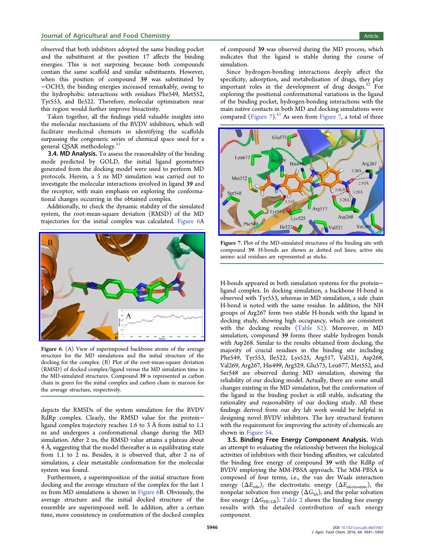<span id="page-5-0"></span>observed that both inhibitors adopted the same binding pocket and the substituent at the position 17 affects the binding energies. This is not surprising because both compounds contain the same scaffold and similar substituents. However, when this position of compound 39 was substituted by −OCH3, the binding energies increased remarkably, owing to the hydrophobic interactions with residues Phe549, Met552, Tyr553, and Ile522. Therefore, molecular optimization near this region would further improve bioactivity.

Taken together, all the findings yield valuable insights into the molecular mechanisms of the BVDV inhibitors, which will facilitate medicinal chemists in identifying the scaffolds surpassing the congeneric series of chemical space used for a general QSAR methodology.<sup>41</sup>

3.4. MD Analysis. To assess the reasonability of the binding mode predicted by GOL[D,](#page-9-0) the initial ligand geometries generated from the docking model were used to perform MD protocols. Herein, a 5 ns MD simulation was carried out to investigate the molecular interactions involved in ligand 39 and the receptor, with main emphasis on exploring the conformational changes occurring in the obtained complex.

Additionally, to check the dynamic stability of the simulated system, the root-mean-square deviation (RMSD) of the MD trajectories for the initial complex was calculated. Figure 6A



Figure 6. [\(A\) View of superimposed backbone atoms of the average](http://pubsdc3.acs.org/action/showImage?doi=10.1021/acs.jafc.6b01067&iName=master.img-005.jpg&w=239&h=155) structure for the MD simulations and the initial structure of the docking for the complex. (B) Plot of the root-mean-square deviation (RMSD) of docked complex/ligand versus the MD simulation time in the MD-simulated structures. Compound 39 is represented as carbon chain in green for the initial complex and carbon chain in maroon for the average structure, respectively.

depicts the RMSDs of the system simulation for the BVDV RdRp complex. Clearly, the RMSD value for the protein− ligand complex trajectory reaches 1.6 to 3 Å from initial to 1.1 ns and undergoes a conformational change during the MD simulation. After 2 ns, the RMSD value attains a plateau about 4 Å, suggesting that the model thereafter is in equilibrating state from 1.1 to 2 ns. Besides, it is observed that, after 2 ns of simulation, a clear metastable conformation for the molecular system was found.

Furthermore, a superimposition of the initial structure from docking and the average structure of the complex for the last 1 ns from MD simulations is shown in Figure 6B. Obviously, the average structure and the initial docked structure of the ensemble are superimposed well. In addition, after a certain time, more consistency in conformation of the docked complex of compound 39 was observed during the MD process, which indicates that the ligand is stable during the course of simulation.

Since hydrogen-bonding interactions deeply affect the specificity, adsorption, and metabolization of drugs, they play important roles in the development of drug design.<sup>42</sup> For exploring the positional conformational variations in the ligand of the binding pocket, hydrogen-bonding interactions [with](#page-9-0) the main native contacts in both MD and docking simulations were compared (Figure  $7$ ).<sup>43</sup> As seen from Figure 7, a total of three



Figure 7. [Plot of the MD-simulated structures of the binding site with](http://pubsdc3.acs.org/action/showImage?doi=10.1021/acs.jafc.6b01067&iName=master.img-006.jpg&w=239&h=153) compound 39. H-bonds are shown as dotted red lines; active site amino acid residues are represented as sticks.

H-bonds appeared in both simulation systems for the protein− ligand complex. In docking simulation, a backbone H-bond is observed with Tyr553, whereas in MD simulation, a side chain H-bond is noted with the same residue. In addition, the NH groups of Arg267 form two stable H-bonds with the ligand in docking study, showing high occupancy, which are consistent with the docking results (Table S2). Moreover, in MD simulation, compound 39 forms three stable hydrogen bonds with Asp268. Similar to the r[esults obta](http://pubs.acs.org/doi/suppl/10.1021/acs.jafc.6b01067/suppl_file/jf6b01067_si_001.pdf)ined from docking, the majority of crucial residues in the binding site including Phe549, Tyr553, Ile522, Lys525, Arg517, Val521, Asp268, Val269, Arg267, His499, Arg529, Glu575, Leu677, Met552, and Ser548 are observed during MD simulation, showing the reliability of our docking model. Actually, there are some small changes existing in the MD simulation, but the conformation of the ligand in the binding pocket is still stable, indicating the rationality and reasonability of our docking study. All these findings derived from our dry lab work would be helpful in designing novel BVDV inhibitors. The key structural features with the requirement for improving the activity of chemicals are shown in Figure S4.

3.5. Binding Free Energy Component Analysis. With an attemp[t to evalua](http://pubs.acs.org/doi/suppl/10.1021/acs.jafc.6b01067/suppl_file/jf6b01067_si_001.pdf)ting the relationship between the biological activities of inhibitors with their binding affinities, we calculated the binding free energy of compound 39 with the RdRp of BVDV employing the MM-PBSA approach. The MM-PBSA is composed of four terms, i.e., the van der Waals interaction energy  $(\Delta E_{vdw})$ , the electrostatic energy  $(\Delta E_{electrostatic})$ , the nonpolar solvation free energy ( $\Delta G_{SA}$ ), and the polar solvation free energy ( $\Delta G_{\text{PB/GB}}$ ). Table 2 shows the binding free energy results with the detailed contribution of each energy component.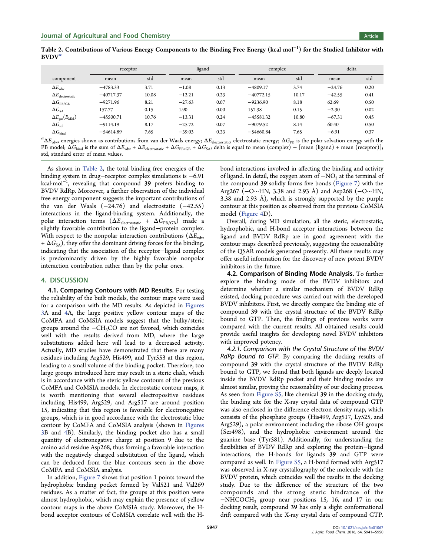Table 2. Contributions of Various Energy Components to the Binding Free Energy (kcal mol<sup>−</sup><sup>1</sup> ) for the Studied Inhibitor with  $BVDV^a$ 

|                                  | receptor    |       | ligand   |      | complex     |       | delta    |      |
|----------------------------------|-------------|-------|----------|------|-------------|-------|----------|------|
| component                        | mean        | std   | mean     | std  | mean        | std   | mean     | std  |
| $\Delta E_{\text{vdw}}$          | $-4783.33$  | 3.71  | $-1.08$  | 0.13 | $-4809.17$  | 3.74  | $-24.76$ | 0.20 |
| $\Delta E_{\rm electrostatic}$   | $-40717.37$ | 10.08 | $-12.21$ | 0.23 | $-40772.15$ | 10.17 | $-42.55$ | 0.41 |
| $\Delta G_{\rm PB/GB}$           | $-9271.96$  | 8.21  | $-27.63$ | 0.07 | $-9236.90$  | 8.18  | 62.69    | 0.50 |
| $\Delta G_{\text{SA}}$           | 157.77      | 0.15  | 1.90     | 0.00 | 157.38      | 0.15  | $-2.30$  | 0.02 |
| $\Delta E_{\rm gas}(E_{\rm MM})$ | $-45500.71$ | 10.76 | $-13.31$ | 0.24 | $-45581.32$ | 10.80 | $-67.31$ | 0.45 |
| $\Delta G_{\rm sol}$             | $-9114.19$  | 8.17  | $-25.72$ | 0.07 | $-9079.52$  | 8.14  | 60.40    | 0.50 |
| $\Delta G_{\rm bind}$            | $-54614.89$ | 7.65  | $-39.03$ | 0.23 | $-54660.84$ | 7.65  | $-6.91$  | 0.37 |

 ${}^a\Delta E_{\rm vdw}$  energies shown as contributions from van der Waals energy;  $\Delta E_{\rm electrostatic}$  electrostatic energy;  $\Delta G_{\rm PB}$  is the polar solvation energy with the PB model;  $\Delta G_{bind}$  is the sum of  $\Delta E_{vdw} + \Delta E_{electrostatic} + \Delta G_{PB/GB} + \Delta G_{SA}$ ; delta is equal to mean (complex) – [mean (ligand) + mean (receptor)]; std, standard error of mean values.

As shown in Table 2, the total binding free energies of the binding system in drug−receptor complex simulations is −6.91 kcal·mol<sup>−</sup><sup>1</sup> , revealing that compound 39 prefers binding to BVDV RdRp. Moreover, a further observation of the individual free energy component suggests the important contributions of the van der Waals  $(-24.76)$  and electrostatic  $(-42.55)$ interactions in the ligand-binding system. Additionally, the polar interaction terms ( $\Delta E_{\text{electrostatic}} + \Delta G_{\text{PB/GB}}$ ) made a slightly favorable contribution to the ligand−protein complex. With respect to the nonpolar interaction contributions ( $\Delta E_{\text{vdw}}$ )  $+ \Delta G_{SA}$ ), they offer the dominant driving forces for the binding, indicating that the association of the receptor−ligand complex is predominantly driven by the highly favorable nonpolar interaction contribution rather than by the polar ones.

## 4. DISCUSSION

4.1. Comparing Contours with MD Results. For testing the reliability of the built models, the contour maps were used for a comparison with the MD results. As depicted in Figures 3A and 4A, the large positive yellow contour maps of the CoMFA and CoMSIA models suggest that the bulk[y/steric](#page-3-0) [gr](#page-3-0)oups a[ro](#page-3-0)und the −CH3CO are not favored, which coincides well with the results derived from MD, where the large substitutions added here will lead to a decreased activity. Actually, MD studies have demonstrated that there are many residues including Arg529, His499, and Tyr553 at this region, leading to a small volume of the binding pocket. Therefore, too large groups introduced here may result in a steric clash, which is in accordance with the steric yellow contours of the previous CoMFA and CoMSIA models. In electrostatic contour maps, it is worth mentioning that several electropositive residues including His499, Arg529, and Arg517 are around position 15, indicating that this region is favorable for electronegative groups, which is in good accordance with the electrostatic blue contour by CoMFA and CoMSIA analysis (shown in Figures 3B and 4B). Similarly, the binding pocket also has a small quantity of electronegative charge at position 9 due [to the](#page-3-0) [am](#page-3-0)ino a[cid](#page-3-0) residue Asp268, thus forming a favorable interaction with the negatively charged substitution of the ligand, which can be deduced from the blue contours seen in the above CoMFA and CoMSIA analysis.

In addition, Figure 7 shows that position 1 points toward the hydrophobic binding pocket formed by Val521 and Val269 residues. As a [matter o](#page-5-0)f fact, the groups at this position were almost hydrophobic, which may explain the presence of yellow contour maps in the above CoMSIA study. Moreover, the Hbond acceptor contours of CoMSIA correlate well with the H-

bond interactions involved in affecting the binding and activity of ligand. In detail, the oxygen atom of  $-NO<sub>2</sub>$  at the terminal of the compound 39 solidly forms five bonds (Figure 7) with the Arg267 (−O···HN, 3.38 and 2.93 Å) and Asp268 (−O···HN, 3.38 and 2.93 Å), which is strongly suppo[rted by t](#page-5-0)he purple contour at this position as observed from the previous CoMSIA model (Figure 4D).

Overall, during MD simulation, all the steric, electrostatic, hydrop[hobic, and](#page-3-0) H-bond acceptor interactions between the ligand and BVDV RdRp are in good agreement with the contour maps described previously, suggesting the reasonability of the QSAR models generated presently. All these results may offer useful information for the discovery of new potent BVDV inhibitors in the future.

4.2. Comparison of Binding Mode Analysis. To further explore the binding mode of the BVDV inhibitors and determine whether a similar mechanism of BVDV RdRp existed, docking procedure was carried out with the developed BVDV inhibitors. First, we directly compare the binding site of compound 39 with the crystal structure of the BVDV RdRp bound to GTP. Then, the findings of previous works were compared with the current results. All obtained results could provide useful insights for developing novel BVDV inhibitors with improved potency.

4.2.1. Comparison with the Crystal Structure of the BVDV RdRp Bound to GTP. By comparing the docking results of compound 39 with the crystal structure of the BVDV RdRp bound to GTP, we found that both ligands are deeply located inside the BVDV RdRp pocket and their binding modes are almost similar, proving the reasonability of our docking process. As seen from Figure S5, like chemical 39 in the docking study, the binding site for the X-ray crystal data of compound GTP was also encl[osed in the](http://pubs.acs.org/doi/suppl/10.1021/acs.jafc.6b01067/suppl_file/jf6b01067_si_001.pdf) difference electron density map, which consists of the phosphate groups (His499, Arg517, Ly525, and Arg529), a polar environment including the ribose OH groups (Ser498), and the hydrophobic environment around the guanine base (Tyr581). Additionally, for understanding the flexibilities of BVDV RdRp and exploring the protein−ligand interactions, the H-bonds for ligands 39 and GTP were compared as well. In Figure S5, a H-bond formed with Arg517 was observed in X-ray crystallography of the molecule with the BVDV protein, whic[h coincides](http://pubs.acs.org/doi/suppl/10.1021/acs.jafc.6b01067/suppl_file/jf6b01067_si_001.pdf) well the results in the docking study. Due to the difference of the structure of the two compounds and the strong steric hindrance of the −NHCOCH3 group near positions 15, 16, and 17 in our docking result, compound 39 has only a slight conformational drift compared with the X-ray crystal data of compound GTP.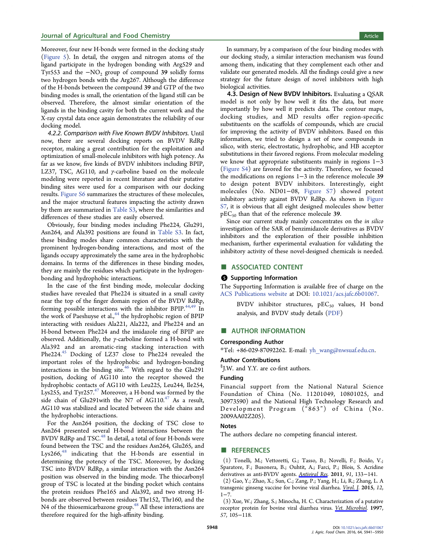<span id="page-7-0"></span>Moreover, four new H-bonds were formed in the docking study (Figure 5). In detail, the oxygen and nitrogen atoms of the ligand participate in the hydrogen bonding with Arg529 and [Tyr553 an](#page-4-0)d the  $-NO<sub>2</sub>$  group of compound 39 solidly forms two hydrogen bonds with the Arg267. Although the difference of the H-bonds between the compound 39 and GTP of the two binding modes is small, the orientation of the ligand still can be observed. Therefore, the almost similar orientation of the ligands in the binding cavity for both the current work and the X-ray crystal data once again demonstrates the reliability of our docking model.

4.2.2. Comparison with Five Known BVDV Inhibitors. Until now, there are several docking reports on BVDV RdRp receptor, making a great contribution for the exploitation and optimization of small-molecule inhibitors with high potency. As far as we know, five kinds of BVDV inhibitors including BPIP, LZ37, TSC, AG110, and  $\gamma$ -carboline based on the molecule modeling were reported in recent literature and their putative binding sites were used for a comparison with our docking results. Figure S6 summarizes the structures of these molecules, and the major structural features impacting the activity drawn by the[m are summ](http://pubs.acs.org/doi/suppl/10.1021/acs.jafc.6b01067/suppl_file/jf6b01067_si_001.pdf)arized in Table S3, where the similarities and differences of these studies are easily observed.

Obviously, four binding [modes in](http://pubs.acs.org/doi/suppl/10.1021/acs.jafc.6b01067/suppl_file/jf6b01067_si_001.pdf)cluding Phe224, Glu291, Asn264, and Ala392 positions are found in Table S3. In fact, these binding modes share common characteristics with the prominent hydrogen-bonding interactions, [and mos](http://pubs.acs.org/doi/suppl/10.1021/acs.jafc.6b01067/suppl_file/jf6b01067_si_001.pdf)t of the ligands occupy approximately the same area in the hydrophobic domains. In terms of the differences in these binding modes, they are mainly the residues which participate in the hydrogenbonding and hydrophobic interactions.

In the case of the first binding mode, molecular docking studies have revealed that Phe224 is situated in a small cavity near the top of the finger domain region of the BVDV RdRp, forming possible interactions with the inhibitor BPIP. $44,49$  In the work of Paeshuyse et al.,<sup>44</sup> the hydrophobic region of BPIP interacting with residues Ala221, Ala222, and Phe224 [and](#page-9-0) an H-bond between Phe224 a[nd](#page-9-0) the imidazole ring of BPIP are observed. Additionally, the γ-carboline formed a H-bond with Ala392 and an aromatic-ring stacking interaction with Phe224.<sup>45</sup> Docking of LZ37 close to Phe224 revealed the important roles of the hydrophobic and hydrogen-bonding interact[ion](#page-9-0)s in the binding site. $46$  With regard to the Glu291 position, docking of AG110 into the receptor showed the hydrophobic contacts of AG11[0 w](#page-9-0)ith Leu225, Leu244, Ile254, Lys255, and  $Tyr257.^{47}$  Moreover, a H-bond was formed by the side chain of Glu291with the N7 of  $AG110<sup>47</sup>$  As a result, AG110 was stabilize[d a](#page-9-0)nd located between the side chains and the hydrophobic interactions.

For the Asn264 position, the docking of TSC close to Asn264 presented several H-bond interactions between the BVDV RdRp and TSC.<sup>48</sup> In detail, a total of four H-bonds were found between the TSC and the residues Asn264, Glu265, and  $Lys266<sup>48</sup>$  indicating [th](#page-9-0)at the H-bonds are essential in determining the potency of the TSC. Moreover, by docking TSC in[to](#page-9-0) BVDV RdRp, a similar interaction with the Asn264 position was observed in the binding mode. The thiocarbonyl group of TSC is located at the binding pocket which contains the protein residues Phe165 and Ala392, and two strong Hbonds are observed between residues Thr152, Thr160, and the N4 of the thiosemicarbazone group.<sup>48</sup> All these interactions are therefore required for the high-affinity binding.

In summary, by a comparison of the four binding modes with our docking study, a similar interaction mechanism was found among them, indicating that they complement each other and validate our generated models. All the findings could give a new strategy for the future design of novel inhibitors with high biological activities.

4.3. Design of New BVDV Inhibitors. Evaluating a QSAR model is not only by how well it fits the data, but more importantly by how well it predicts data. The contour maps, docking studies, and MD results offer region-specific substituents on the scaffolds of compounds, which are crucial for improving the activity of BVDV inhibitors. Based on this information, we tried to design a set of new compounds in silico, with steric, electrostatic, hydrophobic, and HB acceptor substitutions in their favored regions. From molecular modeling we know that appropriate substituents mainly in regions 1−3 (Figure S4) are favored for the activity. Therefore, we focused the modifications on regions 1−3 in the reference molecule 39 t[o design](http://pubs.acs.org/doi/suppl/10.1021/acs.jafc.6b01067/suppl_file/jf6b01067_si_001.pdf) potent BVDV inhibitors. Interestingly, eight molecules (No. ND01−08, Figure S7) showed potent inhibitory activity against BVDV RdRp. As shown in Figure S7, it is obvious that all eight d[esigned mo](http://pubs.acs.org/doi/suppl/10.1021/acs.jafc.6b01067/suppl_file/jf6b01067_si_001.pdf)lecules show better  $pEC<sub>50</sub>$  than that of the reference molecule 39.

Since our current study mainly concentrates on the i[n](http://pubs.acs.org/doi/suppl/10.1021/acs.jafc.6b01067/suppl_file/jf6b01067_si_001.pdf) [silico](http://pubs.acs.org/doi/suppl/10.1021/acs.jafc.6b01067/suppl_file/jf6b01067_si_001.pdf) [inv](http://pubs.acs.org/doi/suppl/10.1021/acs.jafc.6b01067/suppl_file/jf6b01067_si_001.pdf)estigation of the SAR of benzimidazole derivatives as BVDV inhibitors and the exploration of their possible inhibition mechanism, further experimental evaluation for validating the inhibitory activity of these novel-designed chemicals is needed.

# ■ ASSOCIATED CONTENT

### **S** Supporting Information

The Supporting Information is available free of charge on the ACS Publications website at DOI: 10.1021/acs.jafc.6b01067.

BVDV inhibitor structures,  $pEC_{50}$  values, H bond [analysis, and BVDV](http://pubs.acs.org) study d[etails \(PDF\)](http://pubs.acs.org/doi/abs/10.1021/acs.jafc.6b01067)

## ■ AUTHOR INFORMATION

#### Corresponding Author

\*Tel: +86-029-87092262. E-mail: yh\_wang@nwsuaf.edu.cn.

#### Author Contributions

§ J.W. and Y.Y. are co-first authors[.](mailto:yh_wang@nwsuaf.edu.cn)

#### Funding

Financial support from the National Natural Science Foundation of China (No. 11201049, 10801025, and 30973590) and the National High Technology Research and Development Program ("863") of China (No. 2009AA02Z205).

#### Notes

The authors declare no competing financial interest.

## ■ REFERENCES

(1) Tonelli, M.; Vettoretti, G.; Tasso, B.; Novelli, F.; Boido, V.; Sparatore, F.; Busonera, B.; Ouhtit, A.; Farci, P.; Blois, S. Acridine derivatives as anti-BVDV agents. Antiviral Res. 2011, 91, 133−141.

(2) Gao, Y.; Zhao, X.; Sun, C.; Zang, P.; Yang, H.; Li, R.; Zhang, L. A transgenic ginseng vaccine for bo[vine viral dia](http://pubsdc3.acs.org/action/showLinks?pmid=21619897&crossref=10.1016%2Fj.antiviral.2011.05.005&coi=1%3ACAS%3A528%3ADC%252BC3MXovF2itro%253D)rrhea. Virol. J. 2015, 12,  $1 - 7$ .

(3) Xue, W.; Zhang, S.; Minocha, H. C. Characterization of a putative receptor protein for bovine viral diarrhea virus[.](http://pubsdc3.acs.org/action/showLinks?pmid=25591713&crossref=10.1186%2Fs12985-014-0235-7&coi=1%3ACAS%3A528%3ADC%252BC28XivVamsr4%253D) Vet. [Micro](http://pubsdc3.acs.org/action/showLinks?pmid=25591713&crossref=10.1186%2Fs12985-014-0235-7&coi=1%3ACAS%3A528%3ADC%252BC28XivVamsr4%253D)biol. 1997, 57, 105−118.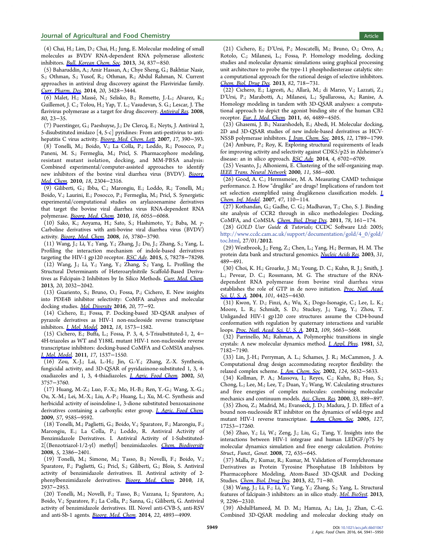<span id="page-8-0"></span>(4) Chai, H.; Lim, D.; Chai, H.; Jung, E. Molecular modeling of small molecules as BVDV RNA-dependent RNA polymerase allosteric inhibitors. Bull. Korean Chem. Soc. 2013, 34, 837−850.

(5) Baharuddin, A.; Amir Hassan, A.; Chye Sheng, G.; Bakhtiar Nasir, S.; Othman, S.; Yusof, R.; Othman, R.; Abdul Rahman, N. Current approache[s](http://pubsdc3.acs.org/action/showLinks?crossref=10.5012%2Fbkcs.2013.34.3.837&coi=1%3ACAS%3A528%3ADC%252BC3sXlsFWht7Y%253D) [in](http://pubsdc3.acs.org/action/showLinks?crossref=10.5012%2Fbkcs.2013.34.3.837&coi=1%3ACAS%3A528%3ADC%252BC3sXlsFWht7Y%253D) [antiviral](http://pubsdc3.acs.org/action/showLinks?crossref=10.5012%2Fbkcs.2013.34.3.837&coi=1%3ACAS%3A528%3ADC%252BC3sXlsFWht7Y%253D) [drug](http://pubsdc3.acs.org/action/showLinks?crossref=10.5012%2Fbkcs.2013.34.3.837&coi=1%3ACAS%3A528%3ADC%252BC3sXlsFWht7Y%253D) [disco](http://pubsdc3.acs.org/action/showLinks?crossref=10.5012%2Fbkcs.2013.34.3.837&coi=1%3ACAS%3A528%3ADC%252BC3sXlsFWht7Y%253D)very against the Flaviviridae family. Curr. Pharm. Des. 2014, 20, 3428−3444.

(6) Malet, H.; Masse, N.; Selisko, B.; Romette, J.-L.; Alvarez, K.; ́ Guillemot, J. C.; Tolou, H.; Yap, T. L.; Vasudevan, S. G.; Lescar, J. The [flavivirus](http://pubsdc3.acs.org/action/showLinks?pmid=24001228&crossref=10.2174%2F13816128113199990635&coi=1%3ACAS%3A528%3ADC%252BC2cXpvValtb0%253D) [polymer](http://pubsdc3.acs.org/action/showLinks?pmid=24001228&crossref=10.2174%2F13816128113199990635&coi=1%3ACAS%3A528%3ADC%252BC2cXpvValtb0%253D)ase as a target for drug discovery. Antiviral Res. 2008, 80, 23−35.

(7) Puerstinger, G.; Paeshuyse, J.; De Clercq, E.; [Neyts, J. Anti](http://pubsdc3.acs.org/action/showLinks?pmid=18611413&crossref=10.1016%2Fj.antiviral.2008.06.007&coi=1%3ACAS%3A528%3ADC%252BD1cXhtVKlsb7K)viral 2, 5-disubstituted imidazo [4, 5-c] pyridines: From anti-pestivirus to antihepatitis C virus activity. Bioorg. Med. Chem. Lett. 2007, 17, 390-393.

(8) Tonelli, M.; Boido, V.; La Colla, P.; Loddo, R.; Posocco, P.; Paneni, M. S.; Fermegl[ia, M.; Pricl, S. Pharm](http://pubsdc3.acs.org/action/showLinks?pmid=17084081&crossref=10.1016%2Fj.bmcl.2006.10.039&coi=1%3ACAS%3A528%3ADC%252BD2sXnvFGksA%253D%253D)acophore modeling, resistant mutant isolation, docking, and MM-PBSA analysis: Combined experimental/computer-assisted approaches to identify new inhibitors of the bovine viral diarrhea virus (BVDV). Bioorg. Med. Chem. 2010, 18, 2304−2316.

(9) Giliberti, G.; Ibba, C.; Marongiu, E.; Loddo, R.; Tonelli, M.; [Boido, V.; L](http://pubsdc3.acs.org/action/showLinks?pmid=20189812&crossref=10.1016%2Fj.bmc.2010.01.058&coi=1%3ACAS%3A528%3ADC%252BC3cXjtVCrtrk%253D)aurini, E.; Posocco, P.; Fermeglia, M.; Pricl, S. Syn[ergistic](http://pubsdc3.acs.org/action/showLinks?pmid=20189812&crossref=10.1016%2Fj.bmc.2010.01.058&coi=1%3ACAS%3A528%3ADC%252BC3cXjtVCrtrk%253D) experimental/computational studies on arylazoenamine derivatives that target the bovine viral diarrhea virus RNA-dependent RNA polymerase. Bioorg. Med. Chem. 2010, 18, 6055-6068.

(10) Sako, K.; Aoyama, H.; Sato, S.; Hashimoto, Y.; Baba, M. γ-Carboline d[erivatives with ant](http://pubsdc3.acs.org/action/showLinks?pmid=20638852&crossref=10.1016%2Fj.bmc.2010.06.065&coi=1%3ACAS%3A528%3ADC%252BC3cXpvFOhsL8%253D)i-bovine viral diarrhea virus (BVDV) activity. Bioorg. Med. Chem. 2008, 16, 3780−3790.

(11) Wang, J.; Li, Y.; Yang, Y.; Zhang, J.; Du, J.; Zhang, S.; Yang, L. Profiling the interaction mechanism of indole-based derivatives targetin[g](http://pubsdc3.acs.org/action/showLinks?pmid=18289862&crossref=10.1016%2Fj.bmc.2008.01.052&coi=1%3ACAS%3A528%3ADC%252BD1cXks1Gqt78%253D) [the](http://pubsdc3.acs.org/action/showLinks?pmid=18289862&crossref=10.1016%2Fj.bmc.2008.01.052&coi=1%3ACAS%3A528%3ADC%252BD1cXks1Gqt78%253D) [HIV-1](http://pubsdc3.acs.org/action/showLinks?pmid=18289862&crossref=10.1016%2Fj.bmc.2008.01.052&coi=1%3ACAS%3A528%3ADC%252BD1cXks1Gqt78%253D) [gp120](http://pubsdc3.acs.org/action/showLinks?pmid=18289862&crossref=10.1016%2Fj.bmc.2008.01.052&coi=1%3ACAS%3A528%3ADC%252BD1cXks1Gqt78%253D) receptor. RSC Adv. 2015, 5, 78278−78298.

(12) Wang, J.; Li, Y.; Yang, Y.; Zhang, S.; Yang, L. Profiling the Structural Determinants of Hetero[arylnitrile](http://pubsdc3.acs.org/action/showLinks?crossref=10.1039%2FC5RA04299B&coi=1%3ACAS%3A528%3ADC%252BC2MXhsVOlsLfL) Scaffold-Based Derivatives as Falcipain-2 Inhibitors by In Silico Methods. Curr. Med. Chem. 2013, 20, 2032−2042.

(13) Guariento, S.; Bruno, O.; Fossa, P.; Cichero[, E. New insights](http://pubsdc3.acs.org/action/showLinks?pmid=23410155&crossref=10.2174%2F0929867311320150008&coi=1%3ACAS%3A528%3ADC%252BC3sXotl2isL4%253D) into PDE4B inhibitor selectivity: CoMFA analyses and molecular docking studies. Mol. Diversity 2016, 20, 77−92.

(14) Cichero, E.; Fossa, P. Docking-based 3D-QSAR analyses of pyrazole derivat[ives as HIV-1](http://pubsdc3.acs.org/action/showLinks?pmid=26290462&crossref=10.1007%2Fs11030-015-9631-1&coi=1%3ACAS%3A528%3ADC%252BC2MXhtlKksb7E) non-nucleoside reverse transcriptase inhibitors. J. Mol. Model. 2012, 18, 1573−1582.

(15) Cichero, E.; Buffa, L.; Fossa, P. 3, 4, 5-Trisubstituted-1, 2, 4− 4H-triazoles as WT and Y188L mutant HIV-1 non-nucleoside reverse transcripta[se](http://pubsdc3.acs.org/action/showLinks?pmid=21805124&crossref=10.1007%2Fs00894-011-1190-5&coi=1%3ACAS%3A528%3ADC%252BC38XkvVektr8%253D) [inhibitors:](http://pubsdc3.acs.org/action/showLinks?pmid=21805124&crossref=10.1007%2Fs00894-011-1190-5&coi=1%3ACAS%3A528%3ADC%252BC38XkvVektr8%253D) [d](http://pubsdc3.acs.org/action/showLinks?pmid=21805124&crossref=10.1007%2Fs00894-011-1190-5&coi=1%3ACAS%3A528%3ADC%252BC38XkvVektr8%253D)ocking-based CoMFA and CoMSIA analyses. J. Mol. Model. 2011, 17, 1537−1550.

(16) Zou, X.-J.; Lai, L.-H.; Jin, G.-Y.; Zhang, Z.-X. Synthesis, fungicidal activity, and 3D-QSAR of pyridazinone-substituted 1, 3, 4 [oxadiazoles](http://pubsdc3.acs.org/action/showLinks?pmid=20922443&crossref=10.1007%2Fs00894-010-0857-7&coi=1%3ACAS%3A528%3ADC%252BC3MXot1Oks70%253D) [a](http://pubsdc3.acs.org/action/showLinks?pmid=20922443&crossref=10.1007%2Fs00894-010-0857-7&coi=1%3ACAS%3A528%3ADC%252BC3MXot1Oks70%253D)nd 1, 3, 4-thiadiazoles. J. Agric. Food Chem. 2002, 50, 3757−3760.

(17) Huang, M.-Z.; Luo, F.-X.; Mo, [H.-B.; Ren, Y.-G.; W](http://pubsdc3.acs.org/action/showLinks?system=10.1021%2Fjf0201677&coi=1%3ACAS%3A528%3ADC%252BD38XjvFagsrc%253D)ang, X.-G.; Ou, X.-M.; Lei, M.-X.; Liu, A.-P.; Huang, L.; Xu, M.-C. Synthesis and herbicidal activity of isoindoline-1, 3-dione substituted benzoxazinone derivatives containing a carboxylic ester group. *J. Agric. Food Chem.* 2009, 57, 9585−9592.

(18) Tonelli, M.; Paglietti, G.; Boido, V.; Sparat[ore, F.; Marongiu, F.;](http://pubsdc3.acs.org/action/showLinks?system=10.1021%2Fjf901897f&coi=1%3ACAS%3A528%3ADC%252BD1MXhtFKnsrjK) Marongiu, E.; La Colla, P.; Loddo, R. Antiviral Activity of Benzimidazole Derivatives. I. Antiviral Activity of 1-Substituted-2[(Benzotriazol-1/2-yl) methyl] benzimidazoles. Chem. Biodiversity 2008, 5, 2386−2401.

(19) Tonelli, M.; Simone, M.; Tasso, B.; Novelli, F.; Boido, V.; Sparatore, F.; Paglietti, G.; Pricl, S.; Giliberti, G.; [Blois,](http://pubsdc3.acs.org/action/showLinks?pmid=19035566&crossref=10.1002%2Fcbdv.200890203&coi=1%3ACAS%3A528%3ADC%252BD1cXhsV2mt7fP) [S.](http://pubsdc3.acs.org/action/showLinks?pmid=19035566&crossref=10.1002%2Fcbdv.200890203&coi=1%3ACAS%3A528%3ADC%252BD1cXhsV2mt7fP) [Antiviral](http://pubsdc3.acs.org/action/showLinks?pmid=19035566&crossref=10.1002%2Fcbdv.200890203&coi=1%3ACAS%3A528%3ADC%252BD1cXhsV2mt7fP) activity of benzimidazole derivatives. II. Antiviral activity of 2 phenylbenzimidazole derivatives. Bioorg. Med. Chem. 2010, 18, 2937−2953.

(20) Tonelli, M.; Novelli, F.; Tas[so, B.; Vazzana, I.; S](http://pubsdc3.acs.org/action/showLinks?pmid=20359898&crossref=10.1016%2Fj.bmc.2010.02.037&coi=1%3ACAS%3A528%3ADC%252BC3cXksF2kt7g%253D)paratore, A.; Boido, V.; Sparatore, F.; La Colla, P.; Sanna, G.; Giliberti, G. Antiviral activity of benzimidazole derivatives. III. Novel anti-CVB-5, anti-RSV and anti-Sb-1 agents. Bioorg. Med. Chem. 2014, 22, 4893-4909.

(21) Cichero, E.; D'Ursi, P.; Moscatelli, M.; Bruno, O.; Orro, A.; Rotolo, C.; Milanesi, L.; Fossa, P. Homology modeling, docking studies and molecular dynamic simulations using graphical processing unit architecture to probe the type-11 phosphodiesterase catalytic site: a computational approach for the rational design of selective inhibitors. Chem. Biol. Drug Des. 2013, 82, 718−731.

(22) Cichero, E.; Ligresti, A.; Allara, M.; di Marzo, V.; Lazzati, Z.; ̀ D'Ursi, P.; Marabotti, A.; Milanesi, L.; Spallarossa, A.; Ranise, A. [Homology](http://pubsdc3.acs.org/action/showLinks?pmid=23865680&crossref=10.1111%2Fcbdd.12193&coi=1%3ACAS%3A528%3ADC%252BC3sXhvVajurfE) [modeling](http://pubsdc3.acs.org/action/showLinks?pmid=23865680&crossref=10.1111%2Fcbdd.12193&coi=1%3ACAS%3A528%3ADC%252BC3sXhvVajurfE) in tandem with 3D-QSAR analyses: a computational approach to depict the agonist binding site of the human CB2 receptor. Eur. J. Med. Chem. 2011, 46, 4489-4505.

(23) Ghasemi, J. B.; Nazarshodeh, E.; Abedi, H. Molecular docking, 2D and [3D-QSAR studies](http://pubsdc3.acs.org/action/showLinks?pmid=21835510&crossref=10.1016%2Fj.ejmech.2011.07.023&coi=1%3ACAS%3A528%3ADC%252BC3MXhtV2rtb7P) of new indole-based derivatives as HCV-NS5B polymerase inhibitors. J. Iran. Chem. Soc. 2015, 12, 1789−1799.

(24) Ambure, P.; Roy, K. Exploring structural requirements of leads for improving activity and sel[ectivity against CD](http://pubsdc3.acs.org/action/showLinks?crossref=10.1007%2Fs13738-015-0654-4&coi=1%3ACAS%3A528%3ADC%252BC2MXptFenu78%253D)K5/p25 in Alzheimer's disease: an in silico approach. RSC Adv. 2014, 4, 6702−6709.

(25) Vesanto, J.; Alhoniemi, E. Clustering of the self-organizing map. IEEE Trans. Neural Network 2000, 11, 586−600.

(26) Good, A. C.; Hermsme[ier,](http://pubsdc3.acs.org/action/showLinks?crossref=10.1039%2Fc3ra46861e&coi=1%3ACAS%3A528%3ADC%252BC2cXmt1OmsA%253D%253D) [M.](http://pubsdc3.acs.org/action/showLinks?crossref=10.1039%2Fc3ra46861e&coi=1%3ACAS%3A528%3ADC%252BC2cXmt1OmsA%253D%253D) [A.](http://pubsdc3.acs.org/action/showLinks?crossref=10.1039%2Fc3ra46861e&coi=1%3ACAS%3A528%3ADC%252BC2cXmt1OmsA%253D%253D) Measuring CAMD technique performance. 2. How "druglike" are drugs? Implications of random test [set](http://pubsdc3.acs.org/action/showLinks?pmid=18249787&crossref=10.1109%2F72.846731&coi=1%3ACAS%3A280%3ADC%252BD1c%252FptFGgtA%253D%253D) [selection](http://pubsdc3.acs.org/action/showLinks?pmid=18249787&crossref=10.1109%2F72.846731&coi=1%3ACAS%3A280%3ADC%252BD1c%252FptFGgtA%253D%253D) [exemplified](http://pubsdc3.acs.org/action/showLinks?pmid=18249787&crossref=10.1109%2F72.846731&coi=1%3ACAS%3A280%3ADC%252BD1c%252FptFGgtA%253D%253D) [us](http://pubsdc3.acs.org/action/showLinks?pmid=18249787&crossref=10.1109%2F72.846731&coi=1%3ACAS%3A280%3ADC%252BD1c%252FptFGgtA%253D%253D)ing druglikeness classification models. *I*. Chem. Inf. Model. 2007, 47, 110−114.

(27) Kothandan, G.; Gadhe, C. G.; Madhavan, T.; Cho, S. J. Binding [site analysis of](http://pubsdc3.acs.org/action/showLinks?system=10.1021%2Fci6003493&coi=1%3ACAS%3A528%3ADC%252BD28Xht1KqsLzI) CCR2 through in silico methodologies: Dockin[g,](http://pubsdc3.acs.org/action/showLinks?system=10.1021%2Fci6003493&coi=1%3ACAS%3A528%3ADC%252BD28Xht1KqsLzI) CoMFA, and CoMSIA. Chem. Biol. Drug Des. 2011, 78, 161−174.

(28) GOLD User Guide & Tutorials; CCDC Software Ltd: 2005; http://www.ccdc.cam.a[c.uk/support/documen](http://pubsdc3.acs.org/action/showLinks?pmid=21294847&crossref=10.1111%2Fj.1747-0285.2011.01095.x&coi=1%3ACAS%3A528%3ADC%252BC3MXosVakt7w%253D)tation/gold/4\_0/gold/ toc.html, 27/01/2012.

(29) Westbrook, J.; Feng, Z.; Chen, L.; Yang, H.; Berman, H. M. The [protein data](http://www.ccdc.cam.ac.uk/support/documentation/gold/4_0/gold/toc.html) [bank](http://www.ccdc.cam.ac.uk/support/documentation/gold/4_0/gold/toc.html) [and](http://www.ccdc.cam.ac.uk/support/documentation/gold/4_0/gold/toc.html) [structural](http://www.ccdc.cam.ac.uk/support/documentation/gold/4_0/gold/toc.html) [genomics.](http://www.ccdc.cam.ac.uk/support/documentation/gold/4_0/gold/toc.html) Nucleic Acids Res. 2003, 31, 489−491.

(30) Choi, K. H.; Groarke, J. M.; Young, D. C.; Kuhn, R. J.; Smith, J. L.; Pevear, D. C.; Rossmann, M. G. T[he](http://pubsdc3.acs.org/action/showLinks?pmid=12520059&crossref=10.1093%2Fnar%2Fgkg068&coi=1%3ACAS%3A528%3ADC%252BD3sXhvFSltr4%253D) [structure](http://pubsdc3.acs.org/action/showLinks?pmid=12520059&crossref=10.1093%2Fnar%2Fgkg068&coi=1%3ACAS%3A528%3ADC%252BD3sXhvFSltr4%253D) [of](http://pubsdc3.acs.org/action/showLinks?pmid=12520059&crossref=10.1093%2Fnar%2Fgkg068&coi=1%3ACAS%3A528%3ADC%252BD3sXhvFSltr4%253D) the RNAdependent RNA polymerase from bovine viral diarrhea virus establishes the role of GTP in de novo initiation. Proc. Natl. Acad. Sci. U. S. A. 2004, 101, 4425-4430.

(31) Kwon, Y. D.; Finzi, A.; Wu, X.; Dogo-Isonagie, C.; Lee, L. K.; Moore, L. R.; Schmidt, S. D.; Stuckey, J.; Yan[g,](http://pubsdc3.acs.org/action/showLinks?pmid=15070734&crossref=10.1073%2Fpnas.0400660101&coi=1%3ACAS%3A528%3ADC%252BD2cXjtFKju74%253D) [Y.;](http://pubsdc3.acs.org/action/showLinks?pmid=15070734&crossref=10.1073%2Fpnas.0400660101&coi=1%3ACAS%3A528%3ADC%252BD2cXjtFKju74%253D) [Zhou,](http://pubsdc3.acs.org/action/showLinks?pmid=15070734&crossref=10.1073%2Fpnas.0400660101&coi=1%3ACAS%3A528%3ADC%252BD2cXjtFKju74%253D) [T.](http://pubsdc3.acs.org/action/showLinks?pmid=15070734&crossref=10.1073%2Fpnas.0400660101&coi=1%3ACAS%3A528%3ADC%252BD2cXjtFKju74%253D) [Unliganded](http://pubsdc3.acs.org/action/showLinks?pmid=15070734&crossref=10.1073%2Fpnas.0400660101&coi=1%3ACAS%3A528%3ADC%252BD2cXjtFKju74%253D) HIV-1 gp120 core structures assume the CD4-bound conformation with regulation by quaternary interactions and variable loops. Proc. Natl. Acad. Sci. U. S. A. 2012, 109, 5663-5668.

(32) Parrinello, M.; Rahman, A. Polymorphic transitions in single crystal[s: A new molecular dynamics](http://pubsdc3.acs.org/action/showLinks?pmid=22451932&crossref=10.1073%2Fpnas.1112391109&coi=1%3ACAS%3A280%3ADC%252BC38vpvFWqsg%253D%253D) method. J. Appl. Phys. 1981, 52, 7182−7190.

(33) Lin, J.-H.; Perryman, A. L.; Schames, J. R.; McCammon, J. A. Computational drug design accommodating [receptor](http://pubsdc3.acs.org/action/showLinks?crossref=10.1063%2F1.328693&coi=1%3ACAS%3A528%3ADyaL38XislSnuw%253D%253D) [flex](http://pubsdc3.acs.org/action/showLinks?crossref=10.1063%2F1.328693&coi=1%3ACAS%3A528%3ADyaL38XislSnuw%253D%253D)ibility: the relaxed complex scheme. *J. Am. Chem. Soc.* 2002, 124, 5632–5633.

(34) Kollman, P. A.; Massova, I.; Reyes, C.; Kuhn, B.; Huo, S.; Chong, L.; Lee, M.; Lee, T.; Duan, Y.; Wang, W. Calculating structures and free energies of [complex](http://pubsdc3.acs.org/action/showLinks?system=10.1021%2Fja0260162&coi=1%3ACAS%3A528%3ADC%252BD38XjtFags7s%253D) [molecul](http://pubsdc3.acs.org/action/showLinks?system=10.1021%2Fja0260162&coi=1%3ACAS%3A528%3ADC%252BD38XjtFags7s%253D)es: combining molecular mechanics and continuum models. Acc. Chem. Res. 2000, 33, 889−897. (35) Zhou, Z.; Madrid, M.; Evanseck, J. D.; Madura, J. D. Effect of a bound non-nucleoside RT inhibito[r on the dynam](http://pubsdc3.acs.org/action/showLinks?system=10.1021%2Far000033j&coi=1%3ACAS%3A528%3ADC%252BD3cXmvFGiu7g%253D)ics of wild-type and mutant HIV-1 reverse transcriptase. *J. Am. Chem. Soc.* 2005, 127, 17253−17260.

(36) Zhao, Y.; Li, W.; Zeng, J.; Liu, G.; Tang, Y. Insights into the interactions between HIV-1 integras[e](http://pubsdc3.acs.org/action/showLinks?system=10.1021%2Fja053973d&coi=1%3ACAS%3A528%3ADC%252BD2MXht1WltL7I) [and](http://pubsdc3.acs.org/action/showLinks?system=10.1021%2Fja053973d&coi=1%3ACAS%3A528%3ADC%252BD2MXht1WltL7I) [human](http://pubsdc3.acs.org/action/showLinks?system=10.1021%2Fja053973d&coi=1%3ACAS%3A528%3ADC%252BD2MXht1WltL7I) [LED](http://pubsdc3.acs.org/action/showLinks?system=10.1021%2Fja053973d&coi=1%3ACAS%3A528%3ADC%252BD2MXht1WltL7I)GF/p75 by molecular dynamics simulation and free energy calculation. Proteins: Struct., Funct., Genet. 2008, 72, 635−645.

(37) Malla, P.; Kumar, R.; Kumar, M. Validation of Formylchromane Derivatives as Protein Tyrosine Phosphatase 1B Inhibitors by Pharmacophore Modeling, Atom-Based 3D-QSAR and Docking Studies. Chem. Biol. Drug Des. 2013, 82, 71−80.

(38) Wang, J.; Li, F.; Li, Y.; Yang, Y.; Zhang, S.; Yang, L. Structural features [of falcipain-3 inhibito](http://pubsdc3.acs.org/action/showLinks?pmid=23506477&crossref=10.1111%2Fcbdd.12135&coi=1%3ACAS%3A528%3ADC%252BC3sXhtVajsbbN)rs: an in silico study. Mol. BioSyst. 2013, 9, 2296−2310.

(39) AbdulHameed, M. D. M.; Hamza, A.; Liu, J.; Zhan, C.-G. Combined 3D-QSAR modeling and molecular [docking](http://pubsdc3.acs.org/action/showLinks?pmid=23765034&crossref=10.1039%2Fc3mb70105k&coi=1%3ACAS%3A528%3ADC%252BC3sXhtF2itL%252FK) [stu](http://pubsdc3.acs.org/action/showLinks?pmid=23765034&crossref=10.1039%2Fc3mb70105k&coi=1%3ACAS%3A528%3ADC%252BC3sXhtF2itL%252FK)dy on